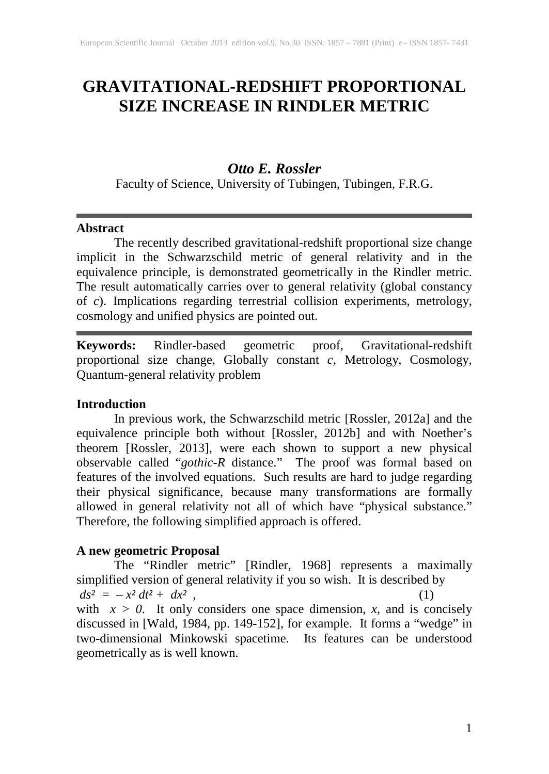# **GRAVITATIONAL-REDSHIFT PROPORTIONAL SIZE INCREASE IN RINDLER METRIC**

## *Otto E. Rossler*

Faculty of Science, University of Tubingen, Tubingen, F.R.G.

#### **Abstract**

The recently described gravitational-redshift proportional size change implicit in the Schwarzschild metric of general relativity and in the equivalence principle, is demonstrated geometrically in the Rindler metric. The result automatically carries over to general relativity (global constancy of *c*). Implications regarding terrestrial collision experiments, metrology, cosmology and unified physics are pointed out.

**Keywords:** Rindler-based geometric proof, Gravitational-redshift proportional size change, Globally constant *c,* Metrology, Cosmology, Quantum-general relativity problem

### **Introduction**

In previous work, the Schwarzschild metric [Rossler, 2012a] and the equivalence principle both without [Rossler, 2012b] and with Noether's theorem [Rossler, 2013], were each shown to support a new physical observable called "*gothic-R* distance." The proof was formal based on features of the involved equations. Such results are hard to judge regarding their physical significance, because many transformations are formally allowed in general relativity not all of which have "physical substance." Therefore, the following simplified approach is offered.

# **A new geometric Proposal**

The "Rindler metric" [Rindler, 1968] represents a maximally simplified version of general relativity if you so wish. It is described by  $ds^2 = -x^2 dt^2 + dx^2$ , (1) with  $x > 0$ . It only considers one space dimension, *x*, and is concisely discussed in [Wald, 1984, pp. 149-152], for example. It forms a "wedge" in two-dimensional Minkowski spacetime. Its features can be understood geometrically as is well known.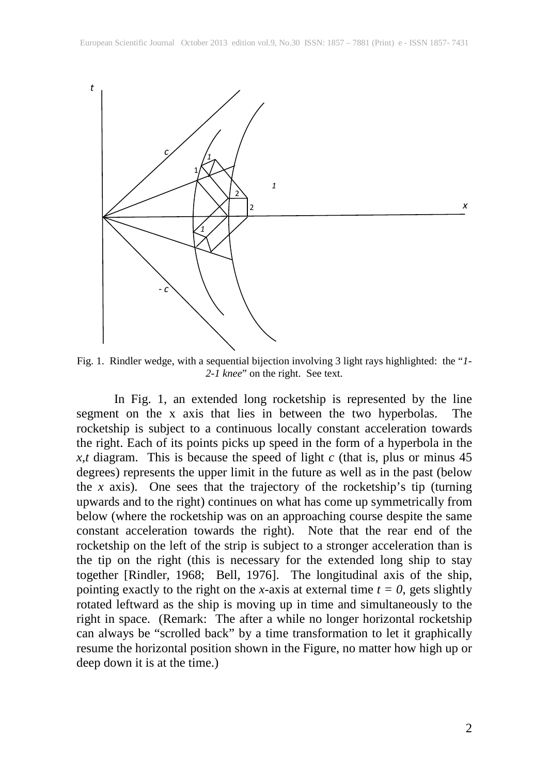

Fig. 1. Rindler wedge, with a sequential bijection involving 3 light rays highlighted: the "*1- 2-1 knee*" on the right. See text.

In Fig. 1, an extended long rocketship is represented by the line segment on the x axis that lies in between the two hyperbolas. The rocketship is subject to a continuous locally constant acceleration towards the right. Each of its points picks up speed in the form of a hyperbola in the *x,t* diagram. This is because the speed of light *c* (that is, plus or minus 45 degrees) represents the upper limit in the future as well as in the past (below the  $x$  axis). One sees that the trajectory of the rocketship's tip (turning upwards and to the right) continues on what has come up symmetrically from below (where the rocketship was on an approaching course despite the same constant acceleration towards the right). Note that the rear end of the rocketship on the left of the strip is subject to a stronger acceleration than is the tip on the right (this is necessary for the extended long ship to stay together [Rindler, 1968; Bell, 1976]. The longitudinal axis of the ship, pointing exactly to the right on the *x*-axis at external time  $t = 0$ , gets slightly rotated leftward as the ship is moving up in time and simultaneously to the right in space. (Remark: The after a while no longer horizontal rocketship can always be "scrolled back" by a time transformation to let it graphically resume the horizontal position shown in the Figure, no matter how high up or deep down it is at the time.)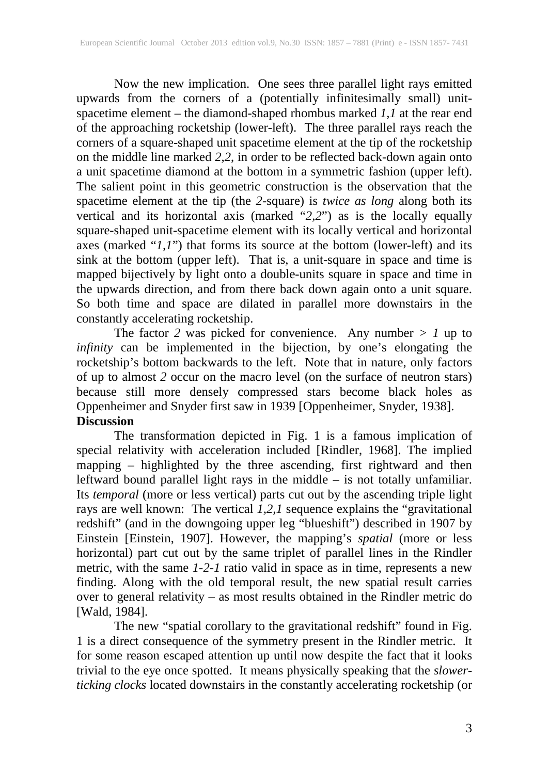Now the new implication. One sees three parallel light rays emitted upwards from the corners of a (potentially infinitesimally small) unitspacetime element – the diamond-shaped rhombus marked *1,1* at the rear end of the approaching rocketship (lower-left). The three parallel rays reach the corners of a square-shaped unit spacetime element at the tip of the rocketship on the middle line marked *2,2*, in order to be reflected back-down again onto a unit spacetime diamond at the bottom in a symmetric fashion (upper left). The salient point in this geometric construction is the observation that the spacetime element at the tip (the *2*-square) is *twice as long* along both its vertical and its horizontal axis (marked "*2,2*") as is the locally equally square-shaped unit-spacetime element with its locally vertical and horizontal axes (marked "*1,1*") that forms its source at the bottom (lower-left) and its sink at the bottom (upper left). That is, a unit-square in space and time is mapped bijectively by light onto a double-units square in space and time in the upwards direction, and from there back down again onto a unit square. So both time and space are dilated in parallel more downstairs in the constantly accelerating rocketship.

The factor 2 was picked for convenience. Any number  $> 1$  up to *infinity* can be implemented in the bijection, by one's elongating the rocketship's bottom backwards to the left. Note that in nature, only factors of up to almost *2* occur on the macro level (on the surface of neutron stars) because still more densely compressed stars become black holes as Oppenheimer and Snyder first saw in 1939 [Oppenheimer, Snyder, 1938]. **Discussion** 

The transformation depicted in Fig. 1 is a famous implication of special relativity with acceleration included [Rindler, 1968]. The implied mapping – highlighted by the three ascending, first rightward and then leftward bound parallel light rays in the middle – is not totally unfamiliar. Its *temporal* (more or less vertical) parts cut out by the ascending triple light rays are well known: The vertical *1,2,1* sequence explains the "gravitational redshift" (and in the downgoing upper leg "blueshift") described in 1907 by Einstein [Einstein, 1907]. However, the mapping's *spatial* (more or less horizontal) part cut out by the same triplet of parallel lines in the Rindler metric, with the same *1-2-1* ratio valid in space as in time, represents a new finding. Along with the old temporal result, the new spatial result carries over to general relativity – as most results obtained in the Rindler metric do [Wald, 1984].

The new "spatial corollary to the gravitational redshift" found in Fig. 1 is a direct consequence of the symmetry present in the Rindler metric. It for some reason escaped attention up until now despite the fact that it looks trivial to the eye once spotted. It means physically speaking that the *slowerticking clocks* located downstairs in the constantly accelerating rocketship (or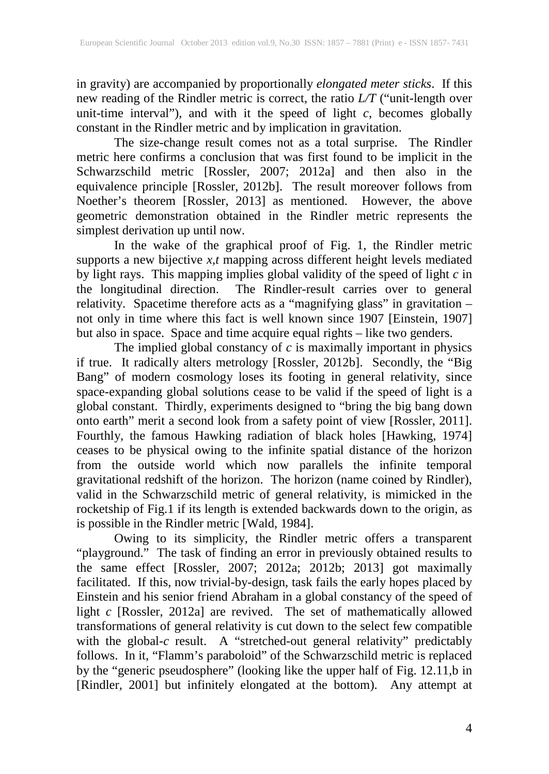in gravity) are accompanied by proportionally *elongated meter sticks*. If this new reading of the Rindler metric is correct, the ratio *L/T* ("unit-length over unit-time interval"), and with it the speed of light  $c$ , becomes globally constant in the Rindler metric and by implication in gravitation.

The size-change result comes not as a total surprise. The Rindler metric here confirms a conclusion that was first found to be implicit in the Schwarzschild metric [Rossler, 2007; 2012a] and then also in the equivalence principle [Rossler, 2012b]. The result moreover follows from Noether's theorem [Rossler, 2013] as mentioned. However, the above geometric demonstration obtained in the Rindler metric represents the simplest derivation up until now.

In the wake of the graphical proof of Fig. 1, the Rindler metric supports a new bijective *x,t* mapping across different height levels mediated by light rays. This mapping implies global validity of the speed of light *c* in the longitudinal direction. The Rindler-result carries over to general relativity. Spacetime therefore acts as a "magnifying glass" in gravitation – not only in time where this fact is well known since 1907 [Einstein, 1907] but also in space. Space and time acquire equal rights – like two genders.

The implied global constancy of *c* is maximally important in physics if true. It radically alters metrology [Rossler, 2012b]. Secondly, the "Big Bang" of modern cosmology loses its footing in general relativity, since space-expanding global solutions cease to be valid if the speed of light is a global constant. Thirdly, experiments designed to "bring the big bang down onto earth" merit a second look from a safety point of view [Rossler, 2011]. Fourthly, the famous Hawking radiation of black holes [Hawking, 1974] ceases to be physical owing to the infinite spatial distance of the horizon from the outside world which now parallels the infinite temporal gravitational redshift of the horizon. The horizon (name coined by Rindler), valid in the Schwarzschild metric of general relativity, is mimicked in the rocketship of Fig.1 if its length is extended backwards down to the origin, as is possible in the Rindler metric [Wald, 1984].

Owing to its simplicity, the Rindler metric offers a transparent "playground." The task of finding an error in previously obtained results to the same effect [Rossler, 2007; 2012a; 2012b; 2013] got maximally facilitated. If this, now trivial-by-design, task fails the early hopes placed by Einstein and his senior friend Abraham in a global constancy of the speed of light *c* [Rossler, 2012a] are revived. The set of mathematically allowed transformations of general relativity is cut down to the select few compatible with the global-*c* result. A "stretched-out general relativity" predictably follows. In it, "Flamm's paraboloid" of the Schwarzschild metric is replaced by the "generic pseudosphere" (looking like the upper half of Fig. 12.11,b in [Rindler, 2001] but infinitely elongated at the bottom). Any attempt at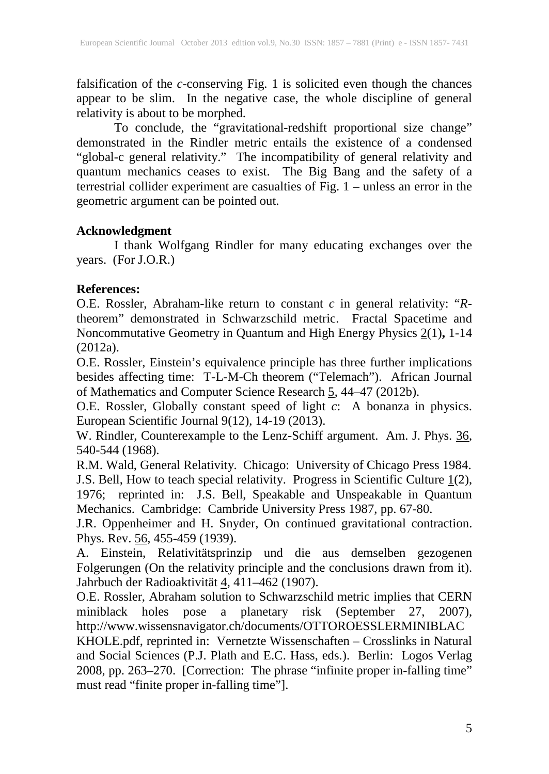falsification of the *c*-conserving Fig. 1 is solicited even though the chances appear to be slim. In the negative case, the whole discipline of general relativity is about to be morphed.

To conclude, the "gravitational-redshift proportional size change" demonstrated in the Rindler metric entails the existence of a condensed "global-c general relativity." The incompatibility of general relativity and quantum mechanics ceases to exist. The Big Bang and the safety of a terrestrial collider experiment are casualties of Fig. 1 – unless an error in the geometric argument can be pointed out.

#### **Acknowledgment**

I thank Wolfgang Rindler for many educating exchanges over the years. (For J.O.R.)

#### **References:**

O.E. Rossler, Abraham-like return to constant *c* in general relativity: "*R*theorem" demonstrated in Schwarzschild metric. Fractal Spacetime and Noncommutative Geometry in Quantum and High Energy Physics 2(1)**,** 1-14 (2012a).

O.E. Rossler, Einstein's equivalence principle has three further implications besides affecting time: T-L-M-Ch theorem ("Telemach"). African Journal of Mathematics and Computer Science Research 5, 44–47 (2012b).

O.E. Rossler, Globally constant speed of light *c*: A bonanza in physics. European Scientific Journal  $9(12)$ , 14-19 (2013).

W. Rindler, Counterexample to the Lenz-Schiff argument. Am. J. Phys. 36, 540-544 (1968).

R.M. Wald, General Relativity. Chicago: University of Chicago Press 1984. J.S. Bell, How to teach special relativity. Progress in Scientific Culture  $\underline{1}(2)$ , 1976; reprinted in: J.S. Bell, Speakable and Unspeakable in Quantum Mechanics. Cambridge: Cambride University Press 1987, pp. 67-80.

J.R. Oppenheimer and H. Snyder, On continued gravitational contraction. Phys. Rev. 56, 455-459 (1939).

A. Einstein, Relativitätsprinzip und die aus demselben gezogenen Folgerungen (On the relativity principle and the conclusions drawn from it). Jahrbuch der Radioaktivität 4, 411–462 (1907).

O.E. Rossler, Abraham solution to Schwarzschild metric implies that CERN miniblack holes pose a planetary risk (September 27, 2007), http://www.wissensnavigator.ch/documents/OTTOROESSLERMINIBLAC

KHOLE.pdf, reprinted in: Vernetzte Wissenschaften – Crosslinks in Natural and Social Sciences (P.J. Plath and E.C. Hass, eds.). Berlin: Logos Verlag 2008, pp. 263–270. [Correction: The phrase "infinite proper in-falling time" must read "finite proper in-falling time"].